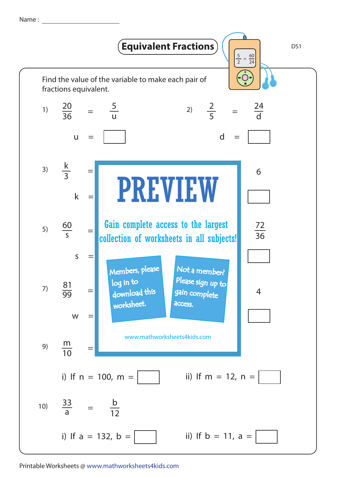Name :